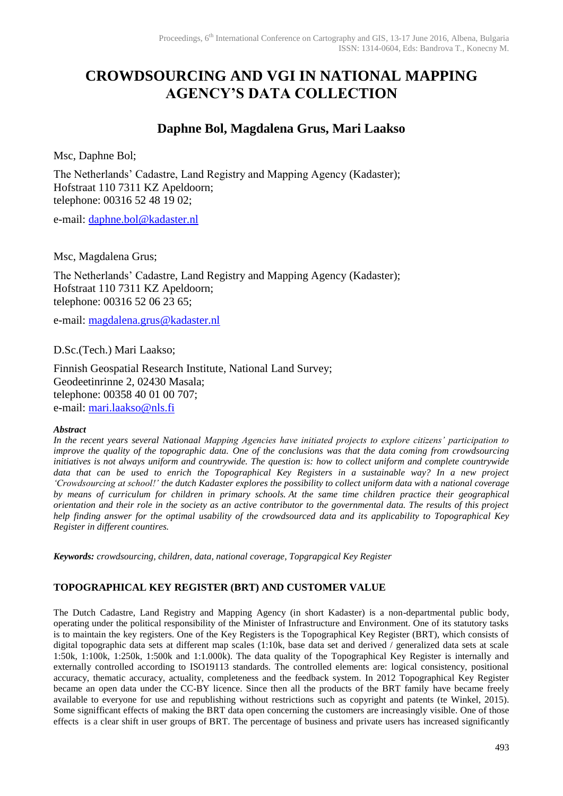# **CROWDSOURCING AND VGI IN NATIONAL MAPPING AGENCY'S DATA COLLECTION**

# **Daphne Bol, Magdalena Grus, Mari Laakso**

Msc, Daphne Bol;

The Netherlands' Cadastre, Land Registry and Mapping Agency (Kadaster); Hofstraat 110 7311 KZ Apeldoorn; telephone: 00316 52 48 19 02;

e-mail: [daphne.bol@kadaster.nl](mailto:daphne.bol@kadaster.nl)

Msc, Magdalena Grus;

The Netherlands' Cadastre, Land Registry and Mapping Agency (Kadaster); Hofstraat 110 7311 KZ Apeldoorn; telephone: 00316 52 06 23 65;

e-mail: [magdalena.grus@kadaster.nl](mailto:daphne.bol@kadaster.nl)

D.Sc.(Tech.) Mari Laakso;

Finnish Geospatial Research Institute, National Land Survey; Geodeetinrinne 2, 02430 Masala; telephone: 00358 40 01 00 707; e-mail: [mari.laakso@nls.fi](mailto:heli.honkanen@maanmittauslaitos.fi)

# *Abstract*

*In the recent years several Nationaal Mapping Agencies have initiated projects to explore citizens' participation to improve the quality of the topographic data. One of the conclusions was that the data coming from crowdsourcing initiatives is not always uniform and countrywide. The question is: how to collect uniform and complete countrywide data that can be used to enrich the Topographical Key Registers in a sustainable way? In a new project 'Crowdsourcing at school!' the dutch Kadaster explores the possibility to collect uniform data with a national coverage by means of curriculum for children in primary schools. At the same time children practice their geographical orientation and their role in the society as an active contributor to the governmental data. The results of this project help finding answer for the optimal usability of the crowdsourced data and its applicability to Topographical Key Register in different countires.*

*Keywords: crowdsourcing, children, data, national coverage, Topgrapgical Key Register*

# **TOPOGRAPHICAL KEY REGISTER (BRT) AND CUSTOMER VALUE**

The Dutch Cadastre, Land Registry and Mapping Agency (in short Kadaster) is a non-departmental public body, operating under the political responsibility of the Minister of Infrastructure and Environment. One of its statutory tasks is to maintain the key registers. One of the Key Registers is the Topographical Key Register (BRT), which consists of digital topographic data sets at different map scales (1:10k, base data set and derived / generalized data sets at scale 1:50k, 1:100k, 1:250k, 1:500k and 1:1.000k). The data quality of the Topographical Key Register is internally and externally controlled according to ISO19113 standards. The controlled elements are: logical consistency, positional accuracy, thematic accuracy, actuality, completeness and the feedback system. In 2012 Topographical Key Register became an open data under the CC-BY licence. Since then all the products of the BRT family have became freely available to everyone for use and republishing without restrictions such as copyright and patents (te Winkel, 2015). Some signifficant effects of making the BRT data open concerning the customers are increasingly visible. One of those effects is a clear shift in user groups of BRT. The percentage of business and private users has increased significantly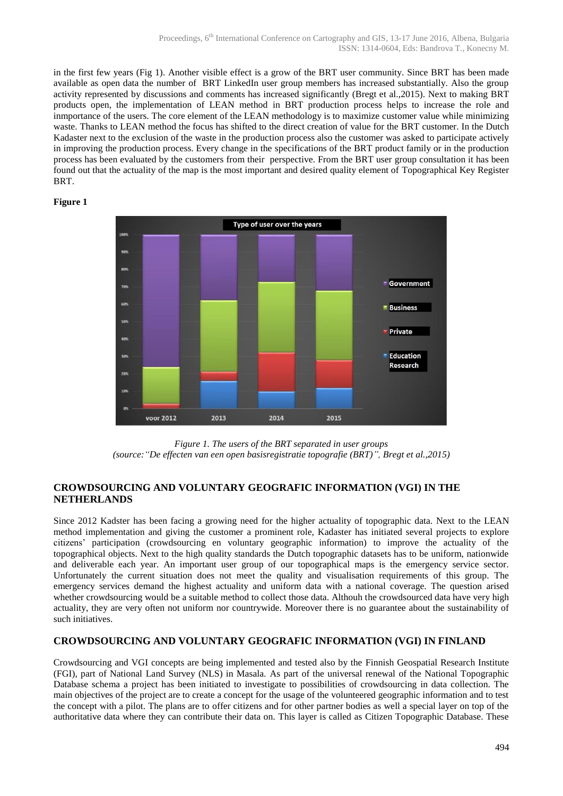in the first few years (Fig 1). Another visible effect is a grow of the BRT user community. Since BRT has been made available as open data the number of BRT LinkedIn user group members has increased substantially. Also the group activity represented by discussions and comments has increased significantly (Bregt et al.,2015). Next to making BRT products open, the implementation of LEAN method in BRT production process helps to increase the role and inmportance of the users. The core element of the LEAN methodology is to maximize customer value while minimizing waste. Thanks to LEAN method the focus has shifted to the direct creation of value for the BRT customer. In the Dutch Kadaster next to the exclusion of the waste in the production process also the customer was asked to participate actively in improving the production process. Every change in the specifications of the BRT product family or in the production process has been evaluated by the customers from their perspective. From the BRT user group consultation it has been found out that the actuality of the map is the most important and desired quality element of Topographical Key Register BRT.

## **Figure 1**



*Figure 1. The users of the BRT separated in user groups (source:"De effecten van een open basisregistratie topografie (BRT)", Bregt et al.,2015)* 

# **CROWDSOURCING AND VOLUNTARY GEOGRAFIC INFORMATION (VGI) IN THE NETHERLANDS**

Since 2012 Kadster has been facing a growing need for the higher actuality of topographic data. Next to the LEAN method implementation and giving the customer a prominent role, Kadaster has initiated several projects to explore citizens' participation (crowdsourcing en voluntary geographic information) to improve the actuality of the topographical objects. Next to the high quality standards the Dutch topographic datasets has to be uniform, nationwide and deliverable each year. An important user group of our topographical maps is the emergency service sector. Unfortunately the current situation does not meet the quality and visualisation requirements of this group. The emergency services demand the highest actuality and uniform data with a national coverage. The question arised whether crowdsourcing would be a suitable method to collect those data. Althouh the crowdsourced data have very high actuality, they are very often not uniform nor countrywide. Moreover there is no guarantee about the sustainability of such initiatives.

# **CROWDSOURCING AND VOLUNTARY GEOGRAFIC INFORMATION (VGI) IN FINLAND**

Crowdsourcing and VGI concepts are being implemented and tested also by the Finnish Geospatial Research Institute (FGI), part of National Land Survey (NLS) in Masala. As part of the universal renewal of the National Topographic Database schema a project has been initiated to investigate to possibilities of crowdsourcing in data collection. The main objectives of the project are to create a concept for the usage of the volunteered geographic information and to test the concept with a pilot. The plans are to offer citizens and for other partner bodies as well a special layer on top of the authoritative data where they can contribute their data on. This layer is called as Citizen Topographic Database. These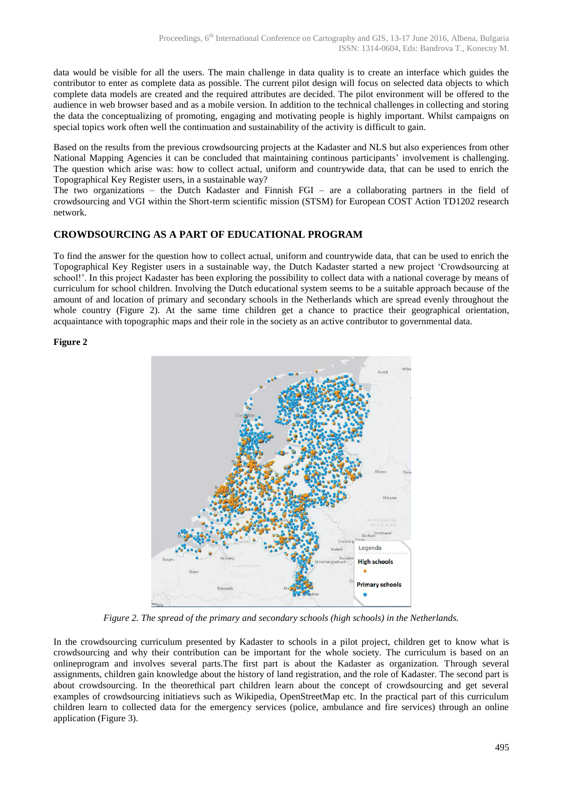data would be visible for all the users. The main challenge in data quality is to create an interface which guides the contributor to enter as complete data as possible. The current pilot design will focus on selected data objects to which complete data models are created and the required attributes are decided. The pilot environment will be offered to the audience in web browser based and as a mobile version. In addition to the technical challenges in collecting and storing the data the conceptualizing of promoting, engaging and motivating people is highly important. Whilst campaigns on special topics work often well the continuation and sustainability of the activity is difficult to gain.

Based on the results from the previous crowdsourcing projects at the Kadaster and NLS but also experiences from other National Mapping Agencies it can be concluded that maintaining continous participants' involvement is challenging. The question which arise was: how to collect actual, uniform and countrywide data, that can be used to enrich the Topographical Key Register users, in a sustainable way?

The two organizations – the Dutch Kadaster and Finnish FGI – are a collaborating partners in the field of crowdsourcing and VGI within the Short-term scientific mission (STSM) for European COST Action TD1202 research network.

# **CROWDSOURCING AS A PART OF EDUCATIONAL PROGRAM**

To find the answer for the question how to collect actual, uniform and countrywide data, that can be used to enrich the Topographical Key Register users in a sustainable way, the Dutch Kadaster started a new project 'Crowdsourcing at school!'. In this project Kadaster has been exploring the possibility to collect data with a national coverage by means of curriculum for school children. Involving the Dutch educational system seems to be a suitable approach because of the amount of and location of primary and secondary schools in the Netherlands which are spread evenly throughout the whole country (Figure 2). At the same time children get a chance to practice their geographical orientation, acquaintance with topographic maps and their role in the society as an active contributor to governmental data.

## **Figure 2**



*Figure 2. The spread of the primary and secondary schools (high schools) in the Netherlands.* 

In the crowdsourcing curriculum presented by Kadaster to schools in a pilot project, children get to know what is crowdsourcing and why their contribution can be important for the whole society. The curriculum is based on an onlineprogram and involves several parts.The first part is about the Kadaster as organization. Through several assignments, children gain knowledge about the history of land registration, and the role of Kadaster. The second part is about crowdsourcing. In the theorethical part children learn about the concept of crowdsourcing and get several examples of crowdsourcing initiatievs such as Wikipedia, OpenStreetMap etc. In the practical part of this curriculum children learn to collected data for the emergency services (police, ambulance and fire services) through an online application (Figure 3).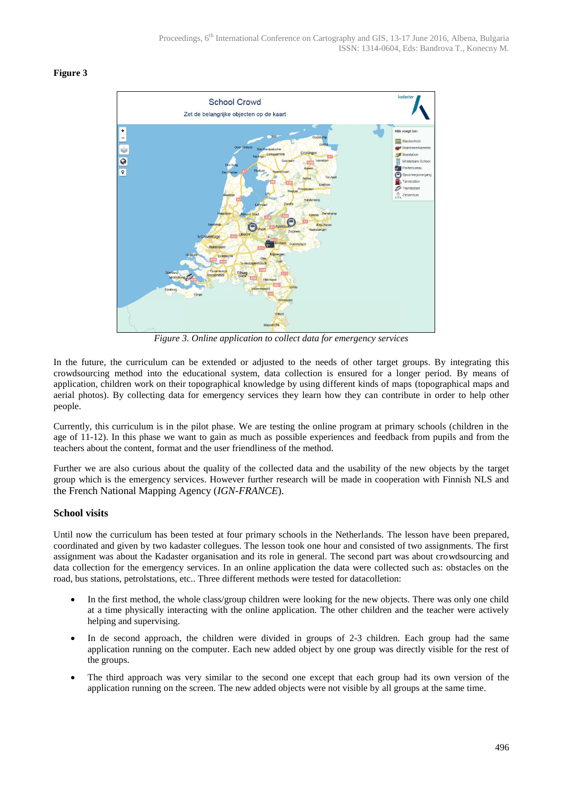#### **Figure 3**



*Figure 3. Online application to collect data for emergency services* 

In the future, the curriculum can be extended or adjusted to the needs of other target groups. By integrating this crowdsourcing method into the educational system, data collection is ensured for a longer period. By means of application, children work on their topographical knowledge by using different kinds of maps (topographical maps and aerial photos). By collecting data for emergency services they learn how they can contribute in order to help other people.

Currently, this curriculum is in the pilot phase. We are testing the online program at primary schools (children in the age of 11-12). In this phase we want to gain as much as possible experiences and feedback from pupils and from the teachers about the content, format and the user friendliness of the method.

Further we are also curious about the quality of the collected data and the usability of the new objects by the target group which is the emergency services. However further research will be made in cooperation with Finnish NLS and the French National Mapping Agency (*IGN-FRANCE*).

# **School visits**

Until now the curriculum has been tested at four primary schools in the Netherlands. The lesson have been prepared, coordinated and given by two kadaster collegues. The lesson took one hour and consisted of two assignments. The first assignment was about the Kadaster organisation and its role in general. The second part was about crowdsourcing and data collection for the emergency services. In an online application the data were collected such as: obstacles on the road, bus stations, petrolstations, etc.. Three different methods were tested for datacolletion:

- In the first method, the whole class/group children were looking for the new objects. There was only one child at a time physically interacting with the online application. The other children and the teacher were actively helping and supervising.
- In de second approach, the children were divided in groups of 2-3 children. Each group had the same application running on the computer. Each new added object by one group was directly visible for the rest of the groups.
- The third approach was very similar to the second one except that each group had its own version of the application running on the screen. The new added objects were not visible by all groups at the same time.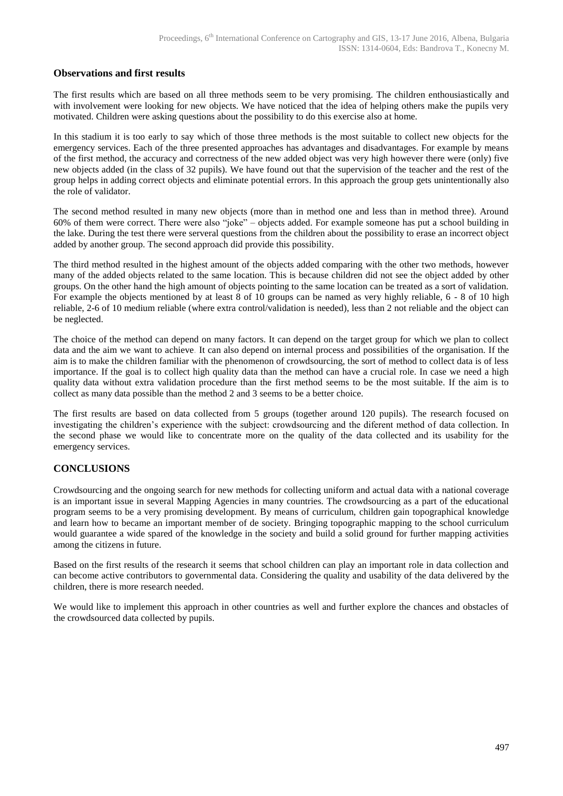# **Observations and first results**

The first results which are based on all three methods seem to be very promising. The children enthousiastically and with involvement were looking for new objects. We have noticed that the idea of helping others make the pupils very motivated. Children were asking questions about the possibility to do this exercise also at home.

In this stadium it is too early to say which of those three methods is the most suitable to collect new objects for the emergency services. Each of the three presented approaches has advantages and disadvantages. For example by means of the first method, the accuracy and correctness of the new added object was very high however there were (only) five new objects added (in the class of 32 pupils). We have found out that the supervision of the teacher and the rest of the group helps in adding correct objects and eliminate potential errors. In this approach the group gets unintentionally also the role of validator.

The second method resulted in many new objects (more than in method one and less than in method three). Around 60% of them were correct. There were also "joke" – objects added. For example someone has put a school building in the lake. During the test there were serveral questions from the children about the possibility to erase an incorrect object added by another group. The second approach did provide this possibility.

The third method resulted in the highest amount of the objects added comparing with the other two methods, however many of the added objects related to the same location. This is because children did not see the object added by other groups. On the other hand the high amount of objects pointing to the same location can be treated as a sort of validation. For example the objects mentioned by at least 8 of 10 groups can be named as very highly reliable, 6 - 8 of 10 high reliable, 2-6 of 10 medium reliable (where extra control/validation is needed), less than 2 not reliable and the object can be neglected.

The choice of the method can depend on many factors. It can depend on the target group for which we plan to collect data and the aim we want to achieve. It can also depend on internal process and possibilities of the organisation. If the aim is to make the children familiar with the phenomenon of crowdsourcing, the sort of method to collect data is of less importance. If the goal is to collect high quality data than the method can have a crucial role. In case we need a high quality data without extra validation procedure than the first method seems to be the most suitable. If the aim is to collect as many data possible than the method 2 and 3 seems to be a better choice.

The first results are based on data collected from 5 groups (together around 120 pupils). The research focused on investigating the children's experience with the subject: crowdsourcing and the diferent method of data collection. In the second phase we would like to concentrate more on the quality of the data collected and its usability for the emergency services.

# **CONCLUSIONS**

Crowdsourcing and the ongoing search for new methods for collecting uniform and actual data with a national coverage is an important issue in several Mapping Agencies in many countries. The crowdsourcing as a part of the educational program seems to be a very promising development. By means of curriculum, children gain topographical knowledge and learn how to became an important member of de society. Bringing topographic mapping to the school curriculum would guarantee a wide spared of the knowledge in the society and build a solid ground for further mapping activities among the citizens in future.

Based on the first results of the research it seems that school children can play an important role in data collection and can become active contributors to governmental data. Considering the quality and usability of the data delivered by the children, there is more research needed.

We would like to implement this approach in other countries as well and further explore the chances and obstacles of the crowdsourced data collected by pupils.